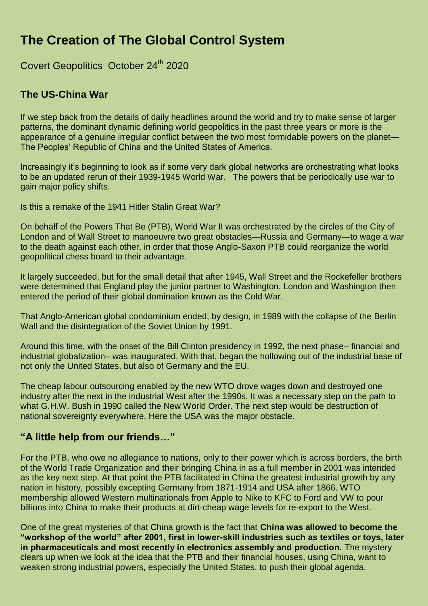# **The Creation of The Global Control System**

Covert Geopolitics October 24<sup>th</sup> 2020

### **The US-China War**

If we step back from the details of daily headlines around the world and try to make sense of larger patterns, the dominant dynamic defining world geopolitics in the past three years or more is the appearance of a genuine irregular conflict between the two most formidable powers on the planet— The Peoples' Republic of China and the United States of America.

Increasingly it's beginning to look as if some very dark global networks are orchestrating what looks to be an updated rerun of their 1939-1945 World War. The powers that be periodically use war to gain major policy shifts.

Is this a remake of the 1941 Hitler Stalin Great War?

On behalf of the Powers That Be (PTB), World War II was orchestrated by the circles of the City of London and of Wall Street to manoeuvre two great obstacles—Russia and Germany—to wage a war to the death against each other, in order that those Anglo-Saxon PTB could reorganize the world geopolitical chess board to their advantage.

It largely succeeded, but for the small detail that after 1945, Wall Street and the Rockefeller brothers were determined that England play the junior partner to Washington. London and Washington then entered the period of their global domination known as the Cold War.

That Anglo-American global condominium ended, by design, in 1989 with the collapse of the Berlin Wall and the disintegration of the Soviet Union by 1991.

Around this time, with the onset of the Bill Clinton presidency in 1992, the next phase– financial and industrial globalization– was inaugurated. With that, began the hollowing out of the industrial base of not only the United States, but also of Germany and the EU.

The cheap labour outsourcing enabled by the new WTO drove wages down and destroyed one industry after the next in the industrial West after the 1990s. It was a necessary step on the path to what G.H.W. Bush in 1990 called the New World Order. The next step would be destruction of national sovereignty everywhere. Here the USA was the major obstacle.

#### **"A little help from our friends…"**

For the PTB, who owe no allegiance to nations, only to their power which is across borders, the birth of the World Trade Organization and their bringing China in as a full member in 2001 was intended as the key next step. At that point the PTB facilitated in China the greatest industrial growth by any nation in history, possibly excepting Germany from 1871-1914 and USA after 1866. WTO membership allowed Western multinationals from Apple to Nike to KFC to Ford and VW to pour billions into China to make their products at dirt-cheap wage levels for re-export to the West.

One of the great mysteries of that China growth is the fact that **China was allowed to become the "workshop of the world" after 2001, first in lower-skill industries such as textiles or toys, later in pharmaceuticals and most recently in electronics assembly and production.** The mystery clears up when we look at the idea that the PTB and their financial houses, using China, want to weaken strong industrial powers, especially the United States, to push their global agenda.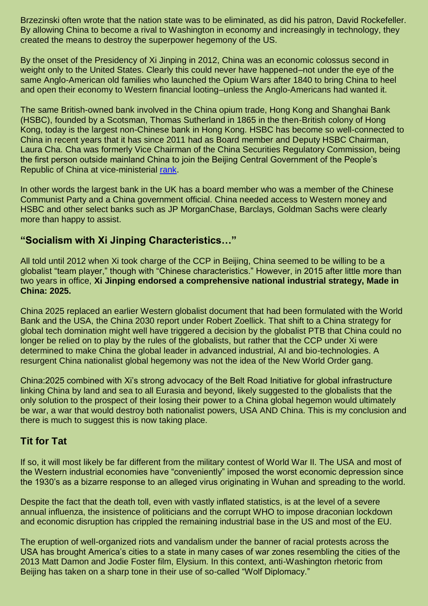Brzezinski often wrote that the nation state was to be eliminated, as did his patron, David Rockefeller. By allowing China to become a rival to Washington in economy and increasingly in technology, they created the means to destroy the superpower hegemony of the US.

By the onset of the Presidency of Xi Jinping in 2012, China was an economic colossus second in weight only to the United States. Clearly this could never have happened–not under the eye of the same Anglo-American old families who launched the Opium Wars after 1840 to bring China to heel and open their economy to Western financial looting–unless the Anglo-Americans had wanted it.

The same British-owned bank involved in the China opium trade, Hong Kong and Shanghai Bank (HSBC), founded by a Scotsman, Thomas Sutherland in 1865 in the then-British colony of Hong Kong, today is the largest non-Chinese bank in Hong Kong. HSBC has become so well-connected to China in recent years that it has since 2011 had as Board member and Deputy HSBC Chairman, Laura Cha. Cha was formerly Vice Chairman of the China Securities Regulatory Commission, being the first person outside mainland China to join the Beijing Central Government of the People's Republic of China at vice-ministerial [rank.](https://www.hsbc.com/who-we-are/leadership)

In other words the largest bank in the UK has a board member who was a member of the Chinese Communist Party and a China government official. China needed access to Western money and HSBC and other select banks such as JP MorganChase, Barclays, Goldman Sachs were clearly more than happy to assist.

#### **"Socialism with Xi Jinping Characteristics…"**

All told until 2012 when Xi took charge of the CCP in Beijing, China seemed to be willing to be a globalist "team player," though with "Chinese characteristics." However, in 2015 after little more than two years in office, **Xi Jinping endorsed a comprehensive national industrial strategy, Made in China: 2025.**

China 2025 replaced an earlier Western globalist document that had been formulated with the World Bank and the USA, the China 2030 report under Robert Zoellick. That shift to a China strategy for global tech domination might well have triggered a decision by the globalist PTB that China could no longer be relied on to play by the rules of the globalists, but rather that the CCP under Xi were determined to make China the global leader in advanced industrial, AI and bio-technologies. A resurgent China nationalist global hegemony was not the idea of the New World Order gang.

China:2025 combined with Xi's strong advocacy of the Belt Road Initiative for global infrastructure linking China by land and sea to all Eurasia and beyond, likely suggested to the globalists that the only solution to the prospect of their losing their power to a China global hegemon would ultimately be war, a war that would destroy both nationalist powers, USA AND China. This is my conclusion and there is much to suggest this is now taking place.

#### **Tit for Tat**

If so, it will most likely be far different from the military contest of World War II. The USA and most of the Western industrial economies have "conveniently" imposed the worst economic depression since the 1930's as a bizarre response to an alleged virus originating in Wuhan and spreading to the world.

Despite the fact that the death toll, even with vastly inflated statistics, is at the level of a severe annual influenza, the insistence of politicians and the corrupt WHO to impose draconian lockdown and economic disruption has crippled the remaining industrial base in the US and most of the EU.

The eruption of well-organized riots and vandalism under the banner of racial protests across the USA has brought America's cities to a state in many cases of war zones resembling the cities of the 2013 Matt Damon and Jodie Foster film, Elysium. In this context, anti-Washington rhetoric from Beijing has taken on a sharp tone in their use of so-called "Wolf Diplomacy."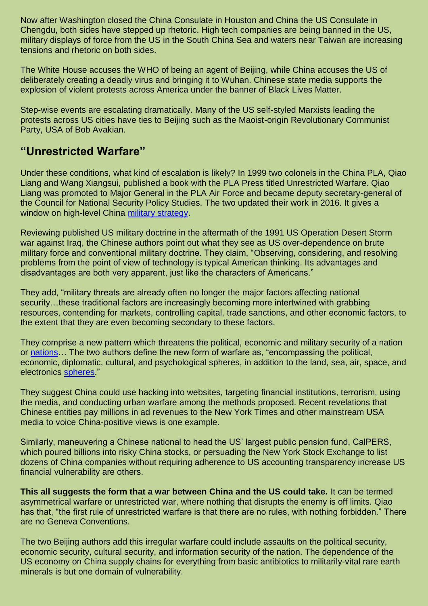Now after Washington closed the China Consulate in Houston and China the US Consulate in Chengdu, both sides have stepped up rhetoric. High tech companies are being banned in the US, military displays of force from the US in the South China Sea and waters near Taiwan are increasing tensions and rhetoric on both sides.

The White House accuses the WHO of being an agent of Beijing, while China accuses the US of deliberately creating a deadly virus and bringing it to Wuhan. Chinese state media supports the explosion of violent protests across America under the banner of Black Lives Matter.

Step-wise events are escalating dramatically. Many of the US self-styled Marxists leading the protests across US cities have ties to Beijing such as the Maoist-origin Revolutionary Communist Party, USA of Bob Avakian.

## **"Unrestricted Warfare"**

Under these conditions, what kind of escalation is likely? In 1999 two colonels in the China PLA, Qiao Liang and Wang Xiangsui, published a book with the PLA Press titled Unrestricted Warfare. Qiao Liang was promoted to Major General in the PLA Air Force and became deputy secretary-general of the Council for National Security Policy Studies. The two updated their work in 2016. It gives a window on high-level China [military strategy.](https://www.oodaloop.com/documents/unrestricted.pdf)

Reviewing published US military doctrine in the aftermath of the 1991 US Operation Desert Storm war against Iraq, the Chinese authors point out what they see as US over-dependence on brute military force and conventional military doctrine. They claim, "Observing, considering, and resolving problems from the point of view of technology is typical American thinking. Its advantages and disadvantages are both very apparent, just like the characters of Americans."

They add, "military threats are already often no longer the major factors affecting national security…these traditional factors are increasingly becoming more intertwined with grabbing resources, contending for markets, controlling capital, trade sanctions, and other economic factors, to the extent that they are even becoming secondary to these factors.

They comprise a new pattern which threatens the political, economic and military security of a nation or [nations…](https://www.oodaloop.com/documents/unrestricted.pdf) The two authors define the new form of warfare as, "encompassing the political, economic, diplomatic, cultural, and psychological spheres, in addition to the land, sea, air, space, and electronics [spheres.](https://www.oodaloop.com/documents/unrestricted.pdf)"

They suggest China could use hacking into websites, targeting financial institutions, terrorism, using the media, and conducting urban warfare among the methods proposed. Recent revelations that Chinese entities pay millions in ad revenues to the New York Times and other mainstream USA media to voice China-positive views is one example.

Similarly, maneuvering a Chinese national to head the US' largest public pension fund, CalPERS, which poured billions into risky China stocks, or persuading the New York Stock Exchange to list dozens of China companies without requiring adherence to US accounting transparency increase US financial vulnerability are others.

**This all suggests the form that a war between China and the US could take.** It can be termed asymmetrical warfare or unrestricted war, where nothing that disrupts the enemy is off limits. Qiao has that, "the first rule of unrestricted warfare is that there are no rules, with nothing forbidden." There are no Geneva Conventions.

The two Beijing authors add this irregular warfare could include assaults on the political security, economic security, cultural security, and information security of the nation. The dependence of the US economy on China supply chains for everything from basic antibiotics to militarily-vital rare earth minerals is but one domain of vulnerability.